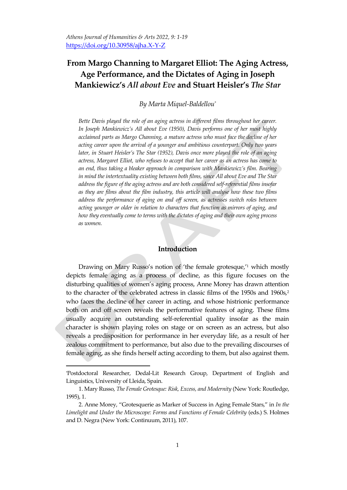# **From Margo Channing to Margaret Elliot: The Aging Actress, Age Performance, and the Dictates of Aging in Joseph Mankiewicz's** *All about Eve* **and Stuart Heisler's** *The Star*

### *By Marta Miquel-Baldellou\**

*Bette Davis played the role of an aging actress in different films throughout her career. In Joseph Mankiewicz's All about Eve (1950), Davis performs one of her most highly acclaimed parts as Margo Channing, a mature actress who must face the decline of her acting career upon the arrival of a younger and ambitious counterpart. Only two years later, in Stuart Heisler's The Star (1952), Davis once more played the role of an aging actress, Margaret Elliot, who refuses to accept that her career as an actress has come to an end, thus taking a bleaker approach in comparison with Mankiewicz's film. Bearing in mind the intertextuality existing between both films, since All about Eve and The Star address the figure of the aging actress and are both considered self-referential films insofar as they are films about the film industry, this article will analyse how these two films*  address the performance of aging on and off screen, as actresses switch roles between *acting younger or older in relation to characters that function as mirrors of aging, and how they eventually come to terms with the dictates of aging and their own aging process as women.* 

## **Introduction**

Drawing on Mary Russo's notion of 'the female grotesque,' <sup>1</sup> which mostly depicts female aging as a process of decline, as this figure focuses on the disturbing qualities of women's aging process, Anne Morey has drawn attention to the character of the celebrated actress in classic films of the 1950s and 1960s,<sup>2</sup> who faces the decline of her career in acting, and whose histrionic performance both on and off screen reveals the performative features of aging. These films usually acquire an outstanding self-referential quality insofar as the main character is shown playing roles on stage or on screen as an actress, but also reveals a predisposition for performance in her everyday life, as a result of her zealous commitment to performance, but also due to the prevailing discourses of female aging, as she finds herself acting according to them, but also against them.

<sup>\*</sup>Postdoctoral Researcher, Dedal-Lit Research Group, Department of English and Linguistics, University of Lleida, Spain.

<sup>1.</sup> Mary Russo, *The Female Grotesque: Risk, Excess, and Modernity* (New York: Routledge, 1995), 1.

<sup>2.</sup> Anne Morey, 'Grotesquerie as Marker of Success in Aging Female Stars,' in *In the Limelight and Under the Microscope: Forms and Functions of Female Celebrity* (eds.) S. Holmes and D. Negra (New York: Continuum, 2011), 107.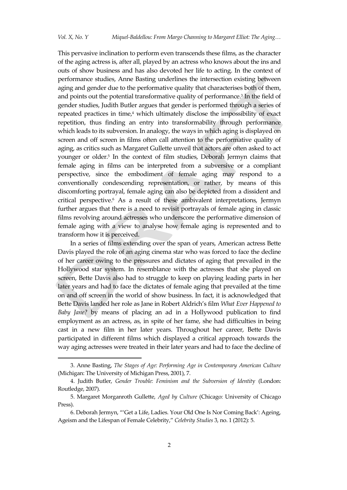This pervasive inclination to perform even transcends these films, as the character of the aging actress is, after all, played by an actress who knows about the ins and outs of show business and has also devoted her life to acting. In the context of performance studies, Anne Basting underlines the intersection existing between aging and gender due to the performative quality that characterises both of them, and points out the potential transformative quality of performance.<sup>3</sup> In the field of gender studies, Judith Butler argues that gender is performed through a series of repeated practices in time, $4$  which ultimately disclose the impossibility of exact repetition, thus finding an entry into transformability through performance which leads to its subversion. In analogy, the ways in which aging is displayed on screen and off screen in films often call attention to the performative quality of aging, as critics such as Margaret Gullette unveil that actors are often asked to act younger or older.<sup>5</sup> In the context of film studies, Deborah Jermyn claims that female aging in films can be interpreted from a subversive or a compliant perspective, since the embodiment of female aging may respond to a conventionally condescending representation, or rather, by means of this discomforting portrayal, female aging can also be depicted from a dissident and critical perspective.<sup>6</sup> As a result of these ambivalent interpretations, Jermyn further argues that there is a need to revisit portrayals of female aging in classic films revolving around actresses who underscore the performative dimension of female aging with a view to analyse how female aging is represented and to transform how it is perceived.

In a series of films extending over the span of years, American actress Bette Davis played the role of an aging cinema star who was forced to face the decline of her career owing to the pressures and dictates of aging that prevailed in the Hollywood star system. In resemblance with the actresses that she played on screen, Bette Davis also had to struggle to keep on playing leading parts in her later years and had to face the dictates of female aging that prevailed at the time on and off screen in the world of show business. In fact, it is acknowledged that Bette Davis landed her role as Jane in Robert Aldrich's film *What Ever Happened to Baby Jane?* by means of placing an ad in a Hollywood publication to find employment as an actress, as, in spite of her fame, she had difficulties in being cast in a new film in her later years. Throughout her career, Bette Davis participated in different films which displayed a critical approach towards the way aging actresses were treated in their later years and had to face the decline of

 $\overline{a}$ 

<sup>3.</sup> Anne Basting, *The Stages of Age: Performing Age in Contemporary American Culture* (Michigan: The University of Michigan Press, 2001), 7.

<sup>4.</sup> Judith Butler, *Gender Trouble: Feminism and the Subversion of Identit*y (London: Routledge, 2007).

<sup>5.</sup> Margaret Morganroth Gullette, *Aged by Culture* (Chicago: University of Chicago Press).

<sup>6.</sup> Deborah Jermyn, ''Get a Life, Ladies. Your Old One Is Nor Coming Back': Ageing, Ageism and the Lifespan of Female Celebrity,' *Celebrity Studies* 3, no. 1 (2012): 5.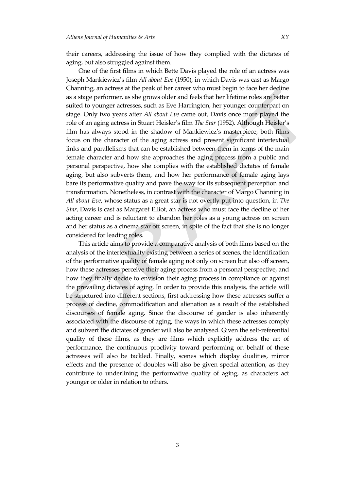their careers, addressing the issue of how they complied with the dictates of aging, but also struggled against them.

One of the first films in which Bette Davis played the role of an actress was Joseph Mankiewicz's film *All about Eve* (1950), in which Davis was cast as Margo Channing, an actress at the peak of her career who must begin to face her decline as a stage performer, as she grows older and feels that her lifetime roles are better suited to younger actresses, such as Eve Harrington, her younger counterpart on stage. Only two years after *All about Eve* came out, Davis once more played the role of an aging actress in Stuart Heisler's film *The Star* (1952). Although Heisler's film has always stood in the shadow of Mankiewicz's masterpiece, both films focus on the character of the aging actress and present significant intertextual links and parallelisms that can be established between them in terms of the main female character and how she approaches the aging process from a public and personal perspective, how she complies with the established dictates of female aging, but also subverts them, and how her performance of female aging lays bare its performative quality and pave the way for its subsequent perception and transformation. Nonetheless, in contrast with the character of Margo Channing in *All about Eve*, whose status as a great star is not overtly put into question, in *The Star*, Davis is cast as Margaret Elliot, an actress who must face the decline of her acting career and is reluctant to abandon her roles as a young actress on screen and her status as a cinema star off screen, in spite of the fact that she is no longer considered for leading roles.

This article aims to provide a comparative analysis of both films based on the analysis of the intertextuality existing between a series of scenes, the identification of the performative quality of female aging not only on screen but also off screen, how these actresses perceive their aging process from a personal perspective, and how they finally decide to envision their aging process in compliance or against the prevailing dictates of aging. In order to provide this analysis, the article will be structured into different sections, first addressing how these actresses suffer a process of decline, commodification and alienation as a result of the established discourses of female aging. Since the discourse of gender is also inherently associated with the discourse of aging, the ways in which these actresses comply and subvert the dictates of gender will also be analysed. Given the self-referential quality of these films, as they are films which explicitly address the art of performance, the continuous proclivity toward performing on behalf of these actresses will also be tackled. Finally, scenes which display dualities, mirror effects and the presence of doubles will also be given special attention, as they contribute to underlining the performative quality of aging, as characters act younger or older in relation to others.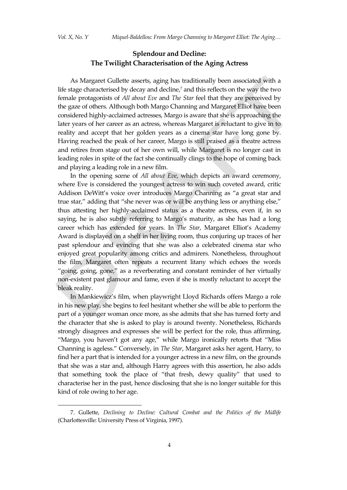$\overline{a}$ 

# **Splendour and Decline: The Twilight Characterisation of the Aging Actress**

As Margaret Gullette asserts, aging has traditionally been associated with a life stage characterised by decay and decline,<sup>7</sup> and this reflects on the way the two female protagonists of *All about Eve* and *The Star* feel that they are perceived by the gaze of others. Although both Margo Channing and Margaret Elliot have been considered highly-acclaimed actresses, Margo is aware that she is approaching the later years of her career as an actress, whereas Margaret is reluctant to give in to reality and accept that her golden years as a cinema star have long gone by. Having reached the peak of her career, Margo is still praised as a theatre actress and retires from stage out of her own will, while Margaret is no longer cast in leading roles in spite of the fact she continually clings to the hope of coming back and playing a leading role in a new film.

In the opening scene of *All about Eve*, which depicts an award ceremony, where Eve is considered the youngest actress to win such coveted award, critic Addison DeWitt's voice over introduces Margo Channing as 'a great star and true star," adding that "she never was or will be anything less or anything else," thus attesting her highly-acclaimed status as a theatre actress, even if, in so saying, he is also subtly referring to Margo's maturity, as she has had a long career which has extended for years. In *The Star*, Margaret Elliot's Academy Award is displayed on a shelf in her living room, thus conjuring up traces of her past splendour and evincing that she was also a celebrated cinema star who enjoyed great popularity among critics and admirers. Nonetheless, throughout the film, Margaret often repeats a recurrent litany which echoes the words 'going, going, gone,' as a reverberating and constant reminder of her virtually non-existent past glamour and fame, even if she is mostly reluctant to accept the bleak reality.

In Mankiewicz's film, when playwright Lloyd Richards offers Margo a role in his new play, she begins to feel hesitant whether she will be able to perform the part of a younger woman once more, as she admits that she has turned forty and the character that she is asked to play is around twenty. Nonetheless, Richards strongly disagrees and expresses she will be perfect for the role, thus affirming, "Margo, you haven't got any age," while Margo ironically retorts that "Miss Channing is ageless.' Conversely, in *The Star*, Margaret asks her agent, Harry, to find her a part that is intended for a younger actress in a new film, on the grounds that she was a star and, although Harry agrees with this assertion, he also adds that something took the place of 'that fresh, dewy quality' that used to characterise her in the past, hence disclosing that she is no longer suitable for this kind of role owing to her age.

<sup>7.</sup> Gullette, *Declining to Decline: Cultural Combat and the Politics of the Midlife* (Charlottesville: University Press of Virginia, 1997).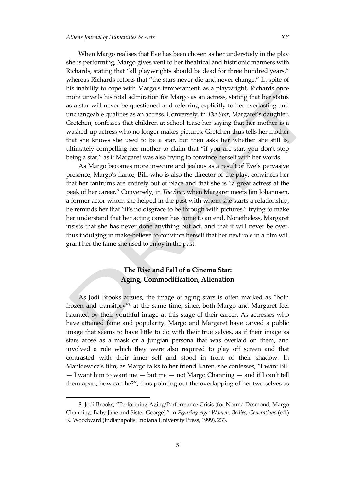When Margo realises that Eve has been chosen as her understudy in the play she is performing, Margo gives vent to her theatrical and histrionic manners with Richards, stating that 'all playwrights should be dead for three hundred years,' whereas Richards retorts that 'the stars never die and never change.' In spite of his inability to cope with Margo's temperament, as a playwright, Richards once more unveils his total admiration for Margo as an actress, stating that her status as a star will never be questioned and referring explicitly to her everlasting and unchangeable qualities as an actress. Conversely, in *The Star*, Margaret's daughter, Gretchen, confesses that children at school tease her saying that her mother is a washed-up actress who no longer makes pictures. Gretchen thus tells her mother that she knows she used to be a star, but then asks her whether she still is, ultimately compelling her mother to claim that 'if you are star, you don't stop being a star," as if Margaret was also trying to convince herself with her words.

As Margo becomes more insecure and jealous as a result of Eve's pervasive presence, Margo's fiancé, Bill, who is also the director of the play, convinces her that her tantrums are entirely out of place and that she is 'a great actress at the peak of her career.' Conversely, in *The Star*, when Margaret meets Jim Johannsen, a former actor whom she helped in the past with whom she starts a relationship, he reminds her that "it's no disgrace to be through with pictures," trying to make her understand that her acting career has come to an end. Nonetheless, Margaret insists that she has never done anything but act, and that it will never be over, thus indulging in make-believe to convince herself that her next role in a film will grant her the fame she used to enjoy in the past.

## **The Rise and Fall of a Cinema Star: Aging, Commodification, Alienation**

As Jodi Brooks argues, the image of aging stars is often marked as 'both frozen and transitory'<sup>8</sup> at the same time, since, both Margo and Margaret feel haunted by their youthful image at this stage of their career. As actresses who have attained fame and popularity, Margo and Margaret have carved a public image that seems to have little to do with their true selves, as if their image as stars arose as a mask or a Jungian persona that was overlaid on them, and involved a role which they were also required to play off screen and that contrasted with their inner self and stood in front of their shadow. In Mankiewicz's film, as Margo talks to her friend Karen, she confesses, 'I want Bill  $-$  I want him to want me  $-$  but me  $-$  not Margo Channing  $-$  and if I can't tell them apart, how can he?', thus pointing out the overlapping of her two selves as

<sup>8.</sup> Jodi Brooks, 'Performing Aging/Performance Crisis (for Norma Desmond, Margo Channing, Baby Jane and Sister George),' in *Figuring Age: Women, Bodies, Generations* (ed.) K. Woodward (Indianapolis: Indiana University Press, 1999), 233.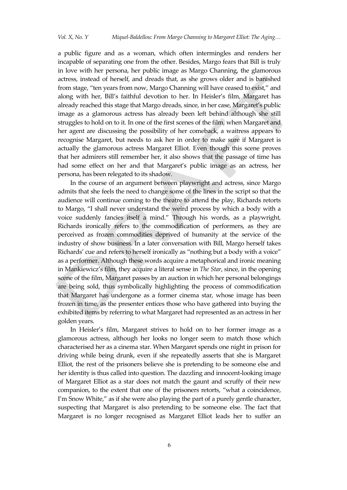a public figure and as a woman, which often intermingles and renders her incapable of separating one from the other. Besides, Margo fears that Bill is truly in love with her persona, her public image as Margo Channing, the glamorous actress, instead of herself, and dreads that, as she grows older and is banished from stage, 'ten years from now, Margo Channing will have ceased to exist,' and along with her, Bill's faithful devotion to her. In Heisler's film, Margaret has already reached this stage that Margo dreads, since, in her case, Margaret's public image as a glamorous actress has already been left behind although she still struggles to hold on to it. In one of the first scenes of the film, when Margaret and her agent are discussing the possibility of her comeback, a waitress appears to recognise Margaret, but needs to ask her in order to make sure if Margaret is actually the glamorous actress Margaret Elliot. Even though this scene proves that her admirers still remember her, it also shows that the passage of time has had some effect on her and that Margaret's public image as an actress, her persona, has been relegated to its shadow.

In the course of an argument between playwright and actress, since Margo admits that she feels the need to change some of the lines in the script so that the audience will continue coming to the theatre to attend the play, Richards retorts to Margo, 'I shall never understand the weird process by which a body with a voice suddenly fancies itself a mind.' Through his words, as a playwright, Richards ironically refers to the commodification of performers, as they are perceived as frozen commodities deprived of humanity at the service of the industry of show business. In a later conversation with Bill, Margo herself takes Richards' cue and refers to herself ironically as 'nothing but a body with a voice' as a performer. Although these words acquire a metaphorical and ironic meaning in Mankiewicz's film, they acquire a literal sense in *The Star*, since, in the opening scene of the film, Margaret passes by an auction in which her personal belongings are being sold, thus symbolically highlighting the process of commodification that Margaret has undergone as a former cinema star, whose image has been frozen in time, as the presenter entices those who have gathered into buying the exhibited items by referring to what Margaret had represented as an actress in her golden years.

In Heisler's film, Margaret strives to hold on to her former image as a glamorous actress, although her looks no longer seem to match those which characterised her as a cinema star. When Margaret spends one night in prison for driving while being drunk, even if she repeatedly asserts that she is Margaret Elliot, the rest of the prisoners believe she is pretending to be someone else and her identity is thus called into question. The dazzling and innocent-looking image of Margaret Elliot as a star does not match the gaunt and scruffy of their new companion, to the extent that one of the prisoners retorts, 'what a coincidence, I'm Snow White," as if she were also playing the part of a purely gentle character, suspecting that Margaret is also pretending to be someone else. The fact that Margaret is no longer recognised as Margaret Elliot leads her to suffer an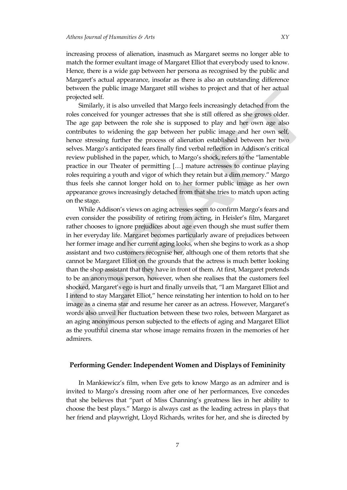increasing process of alienation, inasmuch as Margaret seems no longer able to match the former exultant image of Margaret Elliot that everybody used to know. Hence, there is a wide gap between her persona as recognised by the public and Margaret's actual appearance, insofar as there is also an outstanding difference between the public image Margaret still wishes to project and that of her actual projected self.

Similarly, it is also unveiled that Margo feels increasingly detached from the roles conceived for younger actresses that she is still offered as she grows older. The age gap between the role she is supposed to play and her own age also contributes to widening the gap between her public image and her own self, hence stressing further the process of alienation established between her two selves. Margo's anticipated fears finally find verbal reflection in Addison's critical review published in the paper, which, to Margo's shock, refers to the 'lamentable practice in our Theater of permitting [...] mature actresses to continue playing roles requiring a youth and vigor of which they retain but a dim memory.' Margo thus feels she cannot longer hold on to her former public image as her own appearance grows increasingly detached from that she tries to match upon acting on the stage.

While Addison's views on aging actresses seem to confirm Margo's fears and even consider the possibility of retiring from acting, in Heisler's film, Margaret rather chooses to ignore prejudices about age even though she must suffer them in her everyday life. Margaret becomes particularly aware of prejudices between her former image and her current aging looks, when she begins to work as a shop assistant and two customers recognise her, although one of them retorts that she cannot be Margaret Elliot on the grounds that the actress is much better looking than the shop assistant that they have in front of them. At first, Margaret pretends to be an anonymous person, however, when she realises that the customers feel shocked, Margaret's ego is hurt and finally unveils that, 'I am Margaret Elliot and I intend to stay Margaret Elliot,' hence reinstating her intention to hold on to her image as a cinema star and resume her career as an actress. However, Margaret's words also unveil her fluctuation between these two roles, between Margaret as an aging anonymous person subjected to the effects of aging and Margaret Elliot as the youthful cinema star whose image remains frozen in the memories of her admirers.

#### **Performing Gender: Independent Women and Displays of Femininity**

In Mankiewicz's film, when Eve gets to know Margo as an admirer and is invited to Margo's dressing room after one of her performances, Eve concedes that she believes that 'part of Miss Channing's greatness lies in her ability to choose the best plays.' Margo is always cast as the leading actress in plays that her friend and playwright, Lloyd Richards, writes for her, and she is directed by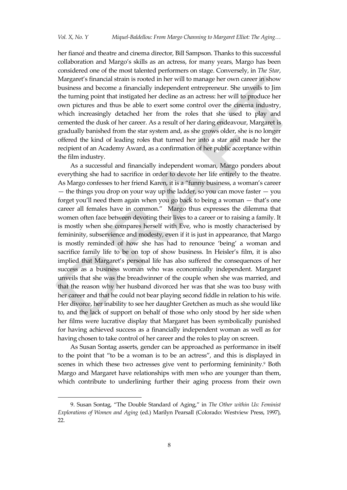her fiancé and theatre and cinema director, Bill Sampson. Thanks to this successful collaboration and Margo's skills as an actress, for many years, Margo has been considered one of the most talented performers on stage. Conversely, in *The Star*, Margaret's financial strain is rooted in her will to manage her own career in show business and become a financially independent entrepreneur. She unveils to Jim the turning point that instigated her decline as an actress: her will to produce her own pictures and thus be able to exert some control over the cinema industry, which increasingly detached her from the roles that she used to play and cemented the dusk of her career. As a result of her daring endeavour, Margaret is gradually banished from the star system and, as she grows older, she is no longer offered the kind of leading roles that turned her into a star and made her the recipient of an Academy Award, as a confirmation of her public acceptance within the film industry.

As a successful and financially independent woman, Margo ponders about everything she had to sacrifice in order to devote her life entirely to the theatre. As Margo confesses to her friend Karen, it is a 'funny business, a woman's career — the things you drop on your way up the ladder, so you can move faster  $-$  you forget you'll need them again when you go back to being a woman — that's one career all females have in common.' Margo thus expresses the dilemma that women often face between devoting their lives to a career or to raising a family. It is mostly when she compares herself with Eve, who is mostly characterised by femininity, subservience and modesty, even if it is just in appearance, that Margo is mostly reminded of how she has had to renounce 'being' a woman and sacrifice family life to be on top of show business. In Heisler's film, it is also implied that Margaret's personal life has also suffered the consequences of her success as a business woman who was economically independent. Margaret unveils that she was the breadwinner of the couple when she was married, and that the reason why her husband divorced her was that she was too busy with her career and that he could not bear playing second fiddle in relation to his wife. Her divorce, her inability to see her daughter Gretchen as much as she would like to, and the lack of support on behalf of those who only stood by her side when her films were lucrative display that Margaret has been symbolically punished for having achieved success as a financially independent woman as well as for having chosen to take control of her career and the roles to play on screen.

As Susan Sontag asserts, gender can be approached as performance in itself to the point that 'to be a woman is to be an actress', and this is displayed in scenes in which these two actresses give vent to performing femininity. <sup>9</sup> Both Margo and Margaret have relationships with men who are younger than them, which contribute to underlining further their aging process from their own

 $\overline{a}$ 

<sup>9.</sup> Susan Sontag, 'The Double Standard of Aging,' in *The Other within Us: Feminist Explorations of Women and Aging* (ed.) Marilyn Pearsall (Colorado: Westview Press, 1997), 22.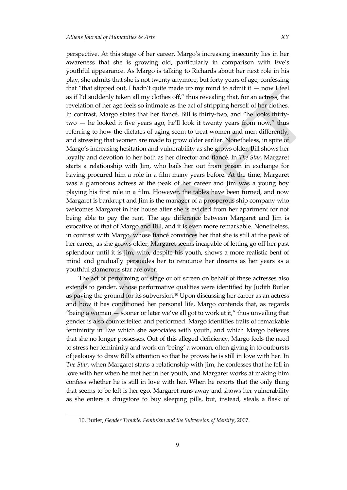perspective. At this stage of her career, Margo's increasing insecurity lies in her awareness that she is growing old, particularly in comparison with Eve's youthful appearance. As Margo is talking to Richards about her next role in his play, she admits that she is not twenty anymore, but forty years of age, confessing that "that slipped out, I hadn't quite made up my mind to admit it  $-$  now I feel as if I'd suddenly taken all my clothes off,' thus revealing that, for an actress, the revelation of her age feels so intimate as the act of stripping herself of her clothes. In contrast, Margo states that her fiancé, Bill is thirty-two, and 'he looks thirtytwo — he looked it five years ago, he'll look it twenty years from now,' thus referring to how the dictates of aging seem to treat women and men differently, and stressing that women are made to grow older earlier. Nonetheless, in spite of Margo's increasing hesitation and vulnerability as she grows older, Bill shows her loyalty and devotion to her both as her director and fiancé. In *The Star*, Margaret starts a relationship with Jim, who bails her out from prison in exchange for having procured him a role in a film many years before. At the time, Margaret was a glamorous actress at the peak of her career and Jim was a young boy playing his first role in a film. However, the tables have been turned, and now Margaret is bankrupt and Jim is the manager of a prosperous ship company who welcomes Margaret in her house after she is evicted from her apartment for not being able to pay the rent. The age difference between Margaret and Jim is evocative of that of Margo and Bill, and it is even more remarkable. Nonetheless, in contrast with Margo, whose fiancé convinces her that she is still at the peak of her career, as she grows older, Margaret seems incapable of letting go off her past splendour until it is Jim, who, despite his youth, shows a more realistic bent of mind and gradually persuades her to renounce her dreams as her years as a youthful glamorous star are over.

The act of performing off stage or off screen on behalf of these actresses also extends to gender, whose performative qualities were identified by Judith Butler as paving the ground for its subversion. <sup>10</sup> Upon discussing her career as an actress and how it has conditioned her personal life, Margo contends that, as regards "being a woman  $-$  sooner or later we've all got to work at it," thus unveiling that gender is also counterfeited and performed. Margo identifies traits of remarkable femininity in Eve which she associates with youth, and which Margo believes that she no longer possesses. Out of this alleged deficiency, Margo feels the need to stress her femininity and work on 'being' a woman, often giving in to outbursts of jealousy to draw Bill's attention so that he proves he is still in love with her. In *The Star*, when Margaret starts a relationship with Jim, he confesses that he fell in love with her when he met her in her youth, and Margaret works at making him confess whether he is still in love with her. When he retorts that the only thing that seems to be left is her ego, Margaret runs away and shows her vulnerability as she enters a drugstore to buy sleeping pills, but, instead, steals a flask of

<sup>10.</sup> Butler, *Gender Trouble: Feminism and the Subversion of Identit*y, 2007.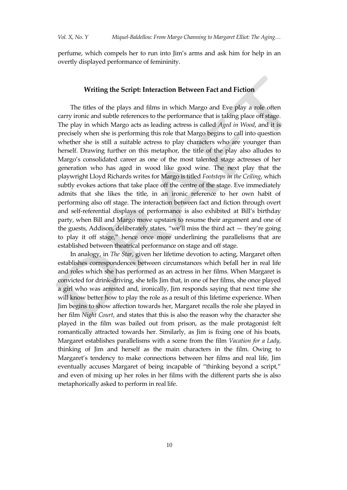perfume, which compels her to run into Jim's arms and ask him for help in an overtly displayed performance of femininity.

### **Writing the Script: Interaction Between Fact and Fiction**

The titles of the plays and films in which Margo and Eve play a role often carry ironic and subtle references to the performance that is taking place off stage. The play in which Margo acts as leading actress is called *Aged in Wood*, and it is precisely when she is performing this role that Margo begins to call into question whether she is still a suitable actress to play characters who are younger than herself. Drawing further on this metaphor, the title of the play also alludes to Margo's consolidated career as one of the most talented stage actresses of her generation who has aged in wood like good wine. The next play that the playwright Lloyd Richards writes for Margo is titled *Footsteps in the Ceiling*, which subtly evokes actions that take place off the centre of the stage. Eve immediately admits that she likes the title, in an ironic reference to her own habit of performing also off stage. The interaction between fact and fiction through overt and self-referential displays of performance is also exhibited at Bill's birthday party, when Bill and Margo move upstairs to resume their argument and one of the guests, Addison, deliberately states, 'we'll miss the third act — they're going to play it off stage,' hence once more underlining the parallelisms that are established between theatrical performance on stage and off stage.

In analogy, in *The Star*, given her lifetime devotion to acting, Margaret often establishes correspondences between circumstances which befall her in real life and roles which she has performed as an actress in her films. When Margaret is convicted for drink-driving, she tells Jim that, in one of her films, she once played a girl who was arrested and, ironically, Jim responds saying that next time she will know better how to play the role as a result of this lifetime experience. When Jim begins to show affection towards her, Margaret recalls the role she played in her film *Night Court*, and states that this is also the reason why the character she played in the film was bailed out from prison, as the male protagonist felt romantically attracted towards her. Similarly, as Jim is fixing one of his boats, Margaret establishes parallelisms with a scene from the film *Vacation for a Lady*, thinking of Jim and herself as the main characters in the film. Owing to Margaret's tendency to make connections between her films and real life, Jim eventually accuses Margaret of being incapable of "thinking beyond a script," and even of mixing up her roles in her films with the different parts she is also metaphorically asked to perform in real life.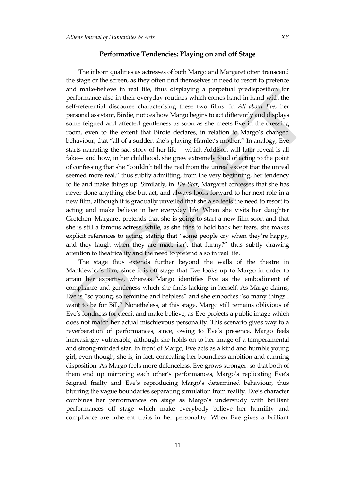#### **Performative Tendencies: Playing on and off Stage**

The inborn qualities as actresses of both Margo and Margaret often transcend the stage or the screen, as they often find themselves in need to resort to pretence and make-believe in real life, thus displaying a perpetual predisposition for performance also in their everyday routines which comes hand in hand with the self-referential discourse characterising these two films. In *All about Eve*, her personal assistant, Birdie, notices how Margo begins to act differently and displays some feigned and affected gentleness as soon as she meets Eve in the dressing room, even to the extent that Birdie declares, in relation to Margo's changed behaviour, that 'all of a sudden she's playing Hamlet's mother.' In analogy, Eve starts narrating the sad story of her life —which Addison will later reveal is all fake— and how, in her childhood, she grew extremely fond of acting to the point of confessing that she 'couldn't tell the real from the unreal except that the unreal seemed more real," thus subtly admitting, from the very beginning, her tendency to lie and make things up. Similarly, in *The Star*, Margaret confesses that she has never done anything else but act, and always looks forward to her next role in a new film, although it is gradually unveiled that she also feels the need to resort to acting and make believe in her everyday life. When she visits her daughter Gretchen, Margaret pretends that she is going to start a new film soon and that she is still a famous actress, while, as she tries to hold back her tears, she makes explicit references to acting, stating that "some people cry when they're happy, and they laugh when they are mad, isn't that funny?' thus subtly drawing attention to theatricality and the need to pretend also in real life.

The stage thus extends further beyond the walls of the theatre in Mankiewicz's film, since it is off stage that Eve looks up to Margo in order to attain her expertise, whereas Margo identifies Eve as the embodiment of compliance and gentleness which she finds lacking in herself. As Margo claims, Eve is 'so young, so feminine and helpless' and she embodies 'so many things I want to be for Bill.' Nonetheless, at this stage, Margo still remains oblivious of Eve's fondness for deceit and make-believe, as Eve projects a public image which does not match her actual mischievous personality. This scenario gives way to a reverberation of performances, since, owing to Eve's presence, Margo feels increasingly vulnerable, although she holds on to her image of a temperamental and strong-minded star. In front of Margo, Eve acts as a kind and humble young girl, even though, she is, in fact, concealing her boundless ambition and cunning disposition. As Margo feels more defenceless, Eve grows stronger, so that both of them end up mirroring each other's performances, Margo's replicating Eve's feigned frailty and Eve's reproducing Margo's determined behaviour, thus blurring the vague boundaries separating simulation from reality. Eve's character combines her performances on stage as Margo's understudy with brilliant performances off stage which make everybody believe her humility and compliance are inherent traits in her personality. When Eve gives a brilliant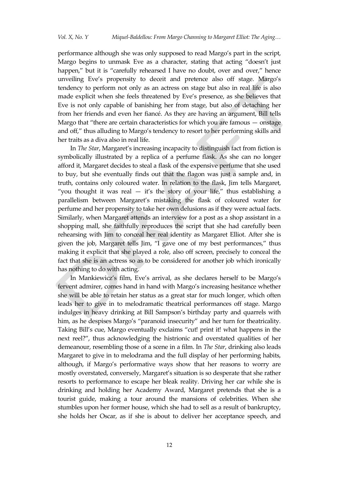performance although she was only supposed to read Margo's part in the script, Margo begins to unmask Eve as a character, stating that acting 'doesn't just happen," but it is "carefully rehearsed I have no doubt, over and over," hence unveiling Eve's propensity to deceit and pretence also off stage. Margo's tendency to perform not only as an actress on stage but also in real life is also made explicit when she feels threatened by Eve's presence, as she believes that Eve is not only capable of banishing her from stage, but also of detaching her from her friends and even her fiancé. As they are having an argument, Bill tells Margo that 'there are certain characteristics for which you are famous — onstage and off,' thus alluding to Margo's tendency to resort to her performing skills and her traits as a diva also in real life.

In *The Star*, Margaret's increasing incapacity to distinguish fact from fiction is symbolically illustrated by a replica of a perfume flask. As she can no longer afford it, Margaret decides to steal a flask of the expensive perfume that she used to buy, but she eventually finds out that the flagon was just a sample and, in truth, contains only coloured water. In relation to the flask, Jim tells Margaret, "you thought it was real  $-$  it's the story of your life," thus establishing a parallelism between Margaret's mistaking the flask of coloured water for perfume and her propensity to take her own delusions as if they were actual facts. Similarly, when Margaret attends an interview for a post as a shop assistant in a shopping mall, she faithfully reproduces the script that she had carefully been rehearsing with Jim to conceal her real identity as Margaret Elliot. After she is given the job, Margaret tells Jim, 'I gave one of my best performances,' thus making it explicit that she played a role, also off screen, precisely to conceal the fact that she is an actress so as to be considered for another job which ironically has nothing to do with acting.

In Mankiewicz's film, Eve's arrival, as she declares herself to be Margo's fervent admirer, comes hand in hand with Margo's increasing hesitance whether she will be able to retain her status as a great star for much longer, which often leads her to give in to melodramatic theatrical performances off stage. Margo indulges in heavy drinking at Bill Sampson's birthday party and quarrels with him, as he despises Margo's "paranoid insecurity" and her turn for theatricality. Taking Bill's cue, Margo eventually exclaims 'cut! print it! what happens in the next reel?', thus acknowledging the histrionic and overstated qualities of her demeanour, resembling those of a scene in a film. In *The Star*, drinking also leads Margaret to give in to melodrama and the full display of her performing habits, although, if Margo's performative ways show that her reasons to worry are mostly overstated, conversely, Margaret's situation is so desperate that she rather resorts to performance to escape her bleak reality. Driving her car while she is drinking and holding her Academy Award, Margaret pretends that she is a tourist guide, making a tour around the mansions of celebrities. When she stumbles upon her former house, which she had to sell as a result of bankruptcy, she holds her Oscar, as if she is about to deliver her acceptance speech, and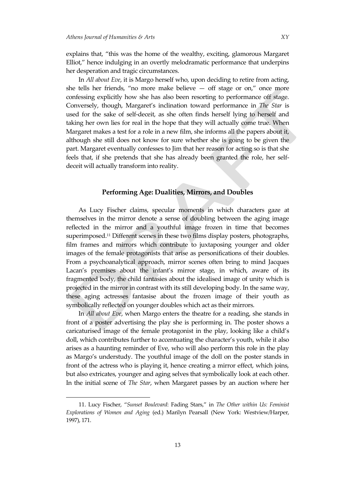explains that, 'this was the home of the wealthy, exciting, glamorous Margaret Elliot," hence indulging in an overtly melodramatic performance that underpins her desperation and tragic circumstances.

In *All about Eve*, it is Margo herself who, upon deciding to retire from acting, she tells her friends, "no more make believe  $-$  off stage or on," once more confessing explicitly how she has also been resorting to performance off stage. Conversely, though, Margaret's inclination toward performance in *The Star* is used for the sake of self-deceit, as she often finds herself lying to herself and taking her own lies for real in the hope that they will actually come true. When Margaret makes a test for a role in a new film, she informs all the papers about it, although she still does not know for sure whether she is going to be given the part. Margaret eventually confesses to Jim that her reason for acting so is that she feels that, if she pretends that she has already been granted the role, her selfdeceit will actually transform into reality.

#### **Performing Age: Dualities, Mirrors, and Doubles**

As Lucy Fischer claims, specular moments in which characters gaze at themselves in the mirror denote a sense of doubling between the aging image reflected in the mirror and a youthful image frozen in time that becomes superimposed. <sup>11</sup> Different scenes in these two films display posters, photographs, film frames and mirrors which contribute to juxtaposing younger and older images of the female protagonists that arise as personifications of their doubles. From a psychoanalytical approach, mirror scenes often bring to mind Jacques Lacan's premises about the infant's mirror stage, in which, aware of its fragmented body, the child fantasies about the idealised image of unity which is projected in the mirror in contrast with its still developing body. In the same way, these aging actresses fantasise about the frozen image of their youth as symbolically reflected on younger doubles which act as their mirrors.

In *All about Eve*, when Margo enters the theatre for a reading, she stands in front of a poster advertising the play she is performing in. The poster shows a caricaturised image of the female protagonist in the play, looking like a child's doll, which contributes further to accentuating the character's youth, while it also arises as a haunting reminder of Eve, who will also perform this role in the play as Margo's understudy. The youthful image of the doll on the poster stands in front of the actress who is playing it, hence creating a mirror effect, which joins, but also extricates, younger and aging selves that symbolically look at each other. In the initial scene of *The Star*, when Margaret passes by an auction where her

<sup>11.</sup> Lucy Fischer, '*Sunset Boulevard*: Fading Stars,' in *The Other within Us: Feminist Explorations of Women and Aging* (ed.) Marilyn Pearsall (New York: Westview/Harper, 1997), 171.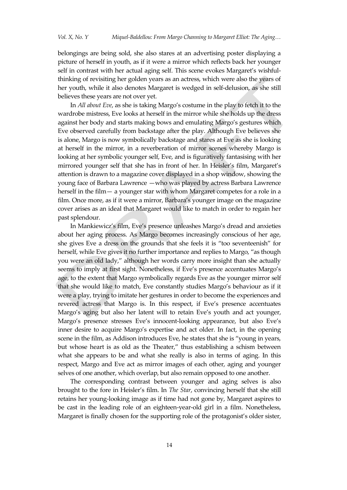belongings are being sold, she also stares at an advertising poster displaying a picture of herself in youth, as if it were a mirror which reflects back her younger self in contrast with her actual aging self. This scene evokes Margaret's wishfulthinking of revisiting her golden years as an actress, which were also the years of her youth, while it also denotes Margaret is wedged in self-delusion, as she still believes these years are not over yet.

In *All about Eve*, as she is taking Margo's costume in the play to fetch it to the wardrobe mistress, Eve looks at herself in the mirror while she holds up the dress against her body and starts making bows and emulating Margo's gestures which Eve observed carefully from backstage after the play. Although Eve believes she is alone, Margo is now symbolically backstage and stares at Eve as she is looking at herself in the mirror, in a reverberation of mirror scenes whereby Margo is looking at her symbolic younger self, Eve, and is figuratively fantasising with her mirrored younger self that she has in front of her. In Heisler's film, Margaret's attention is drawn to a magazine cover displayed in a shop window, showing the young face of Barbara Lawrence —who was played by actress Barbara Lawrence herself in the film— a younger star with whom Margaret competes for a role in a film. Once more, as if it were a mirror, Barbara's younger image on the magazine cover arises as an ideal that Margaret would like to match in order to regain her past splendour.

In Mankiewicz's film, Eve's presence unleashes Margo's dread and anxieties about her aging process. As Margo becomes increasingly conscious of her age, she gives Eve a dress on the grounds that she feels it is 'too seventeenish' for herself, while Eve gives it no further importance and replies to Margo, 'as though you were an old lady,' although her words carry more insight than she actually seems to imply at first sight. Nonetheless, if Eve's presence accentuates Margo's age, to the extent that Margo symbolically regards Eve as the younger mirror self that she would like to match, Eve constantly studies Margo's behaviour as if it were a play, trying to imitate her gestures in order to become the experiences and revered actress that Margo is. In this respect, if Eve's presence accentuates Margo's aging but also her latent will to retain Eve's youth and act younger, Margo's presence stresses Eve's innocent-looking appearance, but also Eve's inner desire to acquire Margo's expertise and act older. In fact, in the opening scene in the film, as Addison introduces Eve, he states that she is 'young in years, but whose heart is as old as the Theater,' thus establishing a schism between what she appears to be and what she really is also in terms of aging. In this respect, Margo and Eve act as mirror images of each other, aging and younger selves of one another, which overlap, but also remain opposed to one another.

The corresponding contrast between younger and aging selves is also brought to the fore in Heisler's film. In *The Star*, convincing herself that she still retains her young-looking image as if time had not gone by, Margaret aspires to be cast in the leading role of an eighteen-year-old girl in a film. Nonetheless, Margaret is finally chosen for the supporting role of the protagonist's older sister,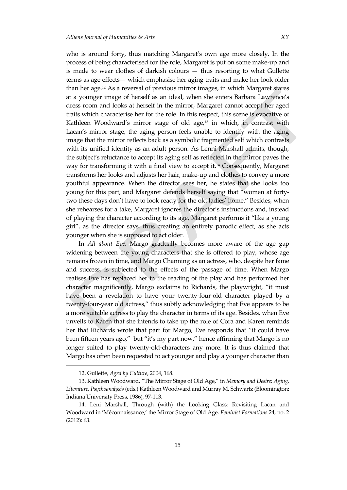who is around forty, thus matching Margaret's own age more closely. In the

process of being characterised for the role, Margaret is put on some make-up and is made to wear clothes of darkish colours — thus resorting to what Gullette terms as age effects— which emphasise her aging traits and make her look older than her age.<sup>12</sup> As a reversal of previous mirror images, in which Margaret stares at a younger image of herself as an ideal, when she enters Barbara Lawrence's dress room and looks at herself in the mirror, Margaret cannot accept her aged traits which characterise her for the role. In this respect, this scene is evocative of Kathleen Woodward's mirror stage of old age,<sup>13</sup> in which, in contrast with Lacan's mirror stage, the aging person feels unable to identify with the aging image that the mirror reflects back as a symbolic fragmented self which contrasts with its unified identity as an adult person. As Lenni Marshall admits, though, the subject's reluctance to accept its aging self as reflected in the mirror paves the way for transforming it with a final view to accept it. <sup>14</sup> Consequently, Margaret transforms her looks and adjusts her hair, make-up and clothes to convey a more youthful appearance. When the director sees her, he states that she looks too young for this part, and Margaret defends herself saying that 'women at fortytwo these days don't have to look ready for the old ladies' home.' Besides, when she rehearses for a take, Margaret ignores the director's instructions and, instead of playing the character according to its age, Margaret performs it 'like a young girl', as the director says, thus creating an entirely parodic effect, as she acts younger when she is supposed to act older.

In *All about Eve*, Margo gradually becomes more aware of the age gap widening between the young characters that she is offered to play, whose age remains frozen in time, and Margo Channing as an actress, who, despite her fame and success, is subjected to the effects of the passage of time. When Margo realises Eve has replaced her in the reading of the play and has performed her character magnificently, Margo exclaims to Richards, the playwright, 'it must have been a revelation to have your twenty-four-old character played by a twenty-four-year old actress,' thus subtly acknowledging that Eve appears to be a more suitable actress to play the character in terms of its age. Besides, when Eve unveils to Karen that she intends to take up the role of Cora and Karen reminds her that Richards wrote that part for Margo, Eve responds that 'it could have been fifteen years ago," but "it's my part now," hence affirming that Margo is no longer suited to play twenty-old-characters any more. It is thus claimed that Margo has often been requested to act younger and play a younger character than

<sup>12.</sup> Gullette, *Aged by Culture*, 2004, 168.

<sup>13.</sup> Kathleen Woodward, 'The Mirror Stage of Old Age,' in *Memory and Desire: Aging, Literature, Psychoanalysis* (eds.) Kathleen Woodward and Murray M. Schwartz (Bloomington: Indiana University Press, 1986), 97-113.

<sup>14.</sup> Leni Marshall, Through (with) the Looking Glass: Revisiting Lacan and Woodward in 'Méconnaissance,' the Mirror Stage of Old Age. *Feminist Formations* 24, no. 2 (2012): 63.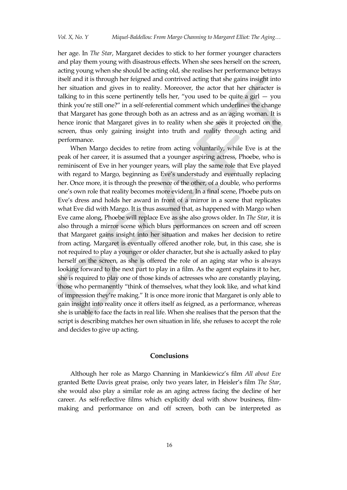her age. In *The Star*, Margaret decides to stick to her former younger characters and play them young with disastrous effects. When she sees herself on the screen, acting young when she should be acting old, she realises her performance betrays itself and it is through her feigned and contrived acting that she gains insight into her situation and gives in to reality. Moreover, the actor that her character is talking to in this scene pertinently tells her, "you used to be quite a girl  $-$  you think you're still one?' in a self-referential comment which underlines the change that Margaret has gone through both as an actress and as an aging woman. It is hence ironic that Margaret gives in to reality when she sees it projected on the screen, thus only gaining insight into truth and reality through acting and performance.

When Margo decides to retire from acting voluntarily, while Eve is at the peak of her career, it is assumed that a younger aspiring actress, Phoebe, who is reminiscent of Eve in her younger years, will play the same role that Eve played with regard to Margo, beginning as Eve's understudy and eventually replacing her. Once more, it is through the presence of the other, of a double, who performs one's own role that reality becomes more evident. In a final scene, Phoebe puts on Eve's dress and holds her award in front of a mirror in a scene that replicates what Eve did with Margo. It is thus assumed that, as happened with Margo when Eve came along, Phoebe will replace Eve as she also grows older. In *The Star*, it is also through a mirror scene which blurs performances on screen and off screen that Margaret gains insight into her situation and makes her decision to retire from acting. Margaret is eventually offered another role, but, in this case, she is not required to play a younger or older character, but she is actually asked to play herself on the screen, as she is offered the role of an aging star who is always looking forward to the next part to play in a film. As the agent explains it to her, she is required to play one of those kinds of actresses who are constantly playing, those who permanently 'think of themselves, what they look like, and what kind of impression they're making.' It is once more ironic that Margaret is only able to gain insight into reality once it offers itself as feigned, as a performance, whereas she is unable to face the facts in real life. When she realises that the person that the script is describing matches her own situation in life, she refuses to accept the role and decides to give up acting.

#### **Conclusions**

Although her role as Margo Channing in Mankiewicz's film *All about Eve* granted Bette Davis great praise, only two years later, in Heisler's film *The Star*, she would also play a similar role as an aging actress facing the decline of her career. As self-reflective films which explicitly deal with show business, filmmaking and performance on and off screen, both can be interpreted as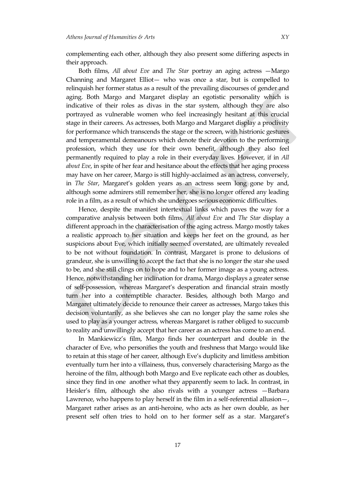complementing each other, although they also present some differing aspects in their approach.

Both films, *All about Eve* and *The Star* portray an aging actress —Margo Channing and Margaret Elliot— who was once a star, but is compelled to relinquish her former status as a result of the prevailing discourses of gender and aging. Both Margo and Margaret display an egotistic personality which is indicative of their roles as divas in the star system, although they are also portrayed as vulnerable women who feel increasingly hesitant at this crucial stage in their careers. As actresses, both Margo and Margaret display a proclivity for performance which transcends the stage or the screen, with histrionic gestures and temperamental demeanours which denote their devotion to the performing profession, which they use for their own benefit, although they also feel permanently required to play a role in their everyday lives. However, if in *All about Eve*, in spite of her fear and hesitance about the effects that her aging process may have on her career, Margo is still highly-acclaimed as an actress, conversely, in *The Star*, Margaret's golden years as an actress seem long gone by and, although some admirers still remember her, she is no longer offered any leading role in a film, as a result of which she undergoes serious economic difficulties.

Hence, despite the manifest intertextual links which paves the way for a comparative analysis between both films, *All about Eve* and *The Star* display a different approach in the characterisation of the aging actress. Margo mostly takes a realistic approach to her situation and keeps her feet on the ground, as her suspicions about Eve, which initially seemed overstated, are ultimately revealed to be not without foundation. In contrast, Margaret is prone to delusions of grandeur, she is unwilling to accept the fact that she is no longer the star she used to be, and she still clings on to hope and to her former image as a young actress. Hence, notwithstanding her inclination for drama, Margo displays a greater sense of self-possession, whereas Margaret's desperation and financial strain mostly turn her into a contemptible character. Besides, although both Margo and Margaret ultimately decide to renounce their career as actresses, Margo takes this decision voluntarily, as she believes she can no longer play the same roles she used to play as a younger actress, whereas Margaret is rather obliged to succumb to reality and unwillingly accept that her career as an actress has come to an end.

In Mankiewicz's film, Margo finds her counterpart and double in the character of Eve, who personifies the youth and freshness that Margo would like to retain at this stage of her career, although Eve's duplicity and limitless ambition eventually turn her into a villainess, thus, conversely characterising Margo as the heroine of the film, although both Margo and Eve replicate each other as doubles, since they find in one another what they apparently seem to lack. In contrast, in Heisler's film, although she also rivals with a younger actress —Barbara Lawrence, who happens to play herself in the film in a self-referential allusion—, Margaret rather arises as an anti-heroine, who acts as her own double, as her present self often tries to hold on to her former self as a star. Margaret's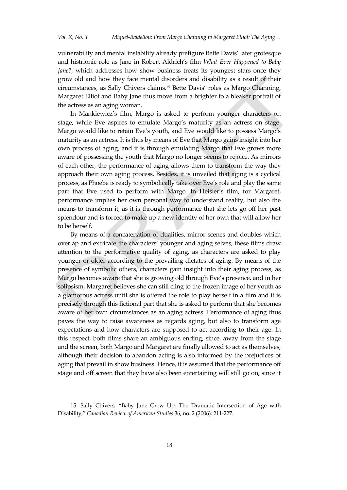vulnerability and mental instability already prefigure Bette Davis' later grotesque and histrionic role as Jane in Robert Aldrich's film *What Ever Happened to Baby Jane?*, which addresses how show business treats its youngest stars once they grow old and how they face mental disorders and disability as a result of their circumstances, as Sally Chivers claims. <sup>15</sup> Bette Davis' roles as Margo Channing, Margaret Elliot and Baby Jane thus move from a brighter to a bleaker portrait of the actress as an aging woman.

In Mankiewicz's film, Margo is asked to perform younger characters on stage, while Eve aspires to emulate Margo's maturity as an actress on stage. Margo would like to retain Eve's youth, and Eve would like to possess Margo's maturity as an actress. It is thus by means of Eve that Margo gains insight into her own process of aging, and it is through emulating Margo that Eve grows more aware of possessing the youth that Margo no longer seems to rejoice. As mirrors of each other, the performance of aging allows them to transform the way they approach their own aging process. Besides, it is unveiled that aging is a cyclical process, as Phoebe is ready to symbolically take over Eve's role and play the same part that Eve used to perform with Margo. In Heisler's film, for Margaret, performance implies her own personal way to understand reality, but also the means to transform it, as it is through performance that she lets go off her past splendour and is forced to make up a new identity of her own that will allow her to be herself.

By means of a concatenation of dualities, mirror scenes and doubles which overlap and extricate the characters' younger and aging selves, these films draw attention to the performative quality of aging, as characters are asked to play younger or older according to the prevailing dictates of aging. By means of the presence of symbolic others, characters gain insight into their aging process, as Margo becomes aware that she is growing old through Eve's presence, and in her solipsism, Margaret believes she can still cling to the frozen image of her youth as a glamorous actress until she is offered the role to play herself in a film and it is precisely through this fictional part that she is asked to perform that she becomes aware of her own circumstances as an aging actress. Performance of aging thus paves the way to raise awareness as regards aging, but also to transform age expectations and how characters are supposed to act according to their age. In this respect, both films share an ambiguous ending, since, away from the stage and the screen, both Margo and Margaret are finally allowed to act as themselves, although their decision to abandon acting is also informed by the prejudices of aging that prevail in show business. Hence, it is assumed that the performance off stage and off screen that they have also been entertaining will still go on, since it

 $\overline{a}$ 

<sup>15.</sup> Sally Chivers, 'Baby Jane Grew Up: The Dramatic Intersection of Age with Disability,' *Canadian Review of American Studies* 36, no. 2 (2006): 211-227.